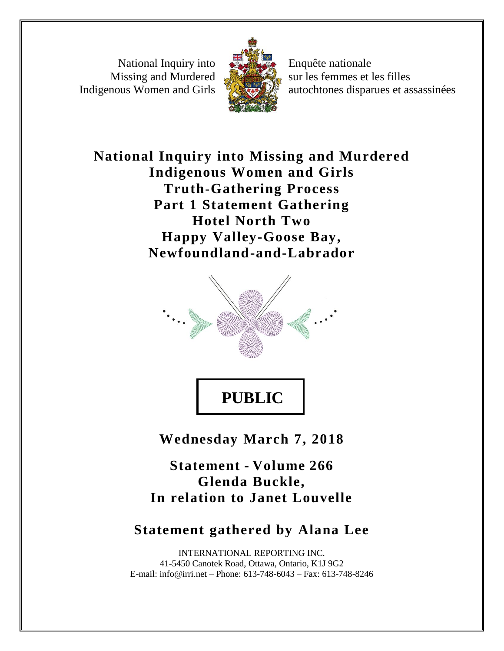National Inquiry into Missing and Murdered Indigenous Women and Girls



Enquête nationale sur les femmes et les filles autochtones disparues et assassinées

# **National Inquiry into Missing and Murdered Indigenous Women and Girls Truth-Gathering Process Part 1 Statement Gathering Hotel North Two Happy Valley-Goose Bay, Newfoundland-and-Labrador**



**PUBLIC**

**Wednesday March 7, 2018**

**Statement - Volume 266 Glenda Buckle, In relation to Janet Louvelle**

## **Statement gathered by Alana Lee**

INTERNATIONAL REPORTING INC. 41-5450 Canotek Road, Ottawa, Ontario, K1J 9G2 E-mail: info@irri.net – Phone: 613-748-6043 – Fax: 613-748-8246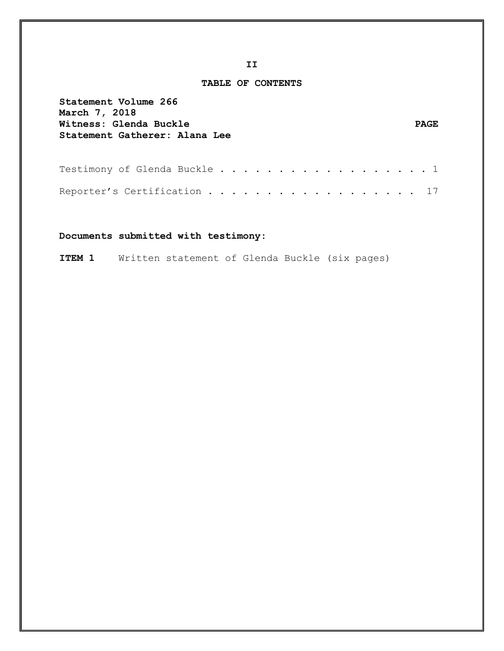#### **TABLE OF CONTENTS**

| Statement Volume 266<br>March 7, 2018<br>Witness: Glenda Buckle<br>Statement Gatherer: Alana Lee | <b>PAGE</b> |
|--------------------------------------------------------------------------------------------------|-------------|
| Testimony of Glenda Buckle 1                                                                     |             |
| Reporter's Certification 17                                                                      |             |

**Documents submitted with testimony:** 

**ITEM 1** Written statement of Glenda Buckle (six pages)

**II**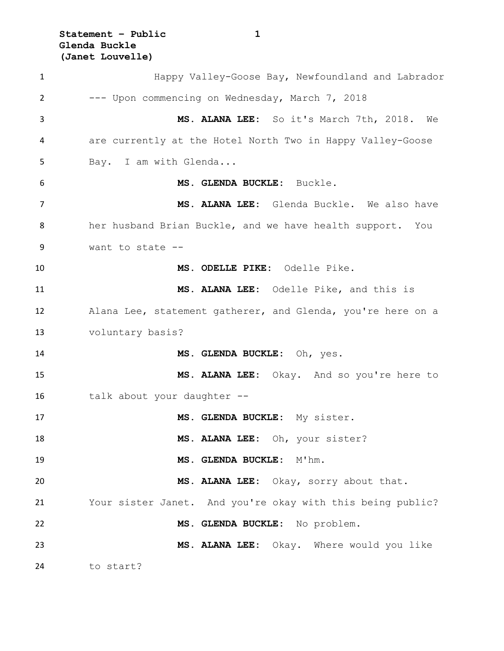**Statement – Public 1 Glenda Buckle (Janet Louvelle)**

 Happy Valley-Goose Bay, Newfoundland and Labrador --- Upon commencing on Wednesday, March 7, 2018 **MS. ALANA LEE:** So it's March 7th, 2018. We are currently at the Hotel North Two in Happy Valley-Goose 5 Bay. I am with Glenda... **MS. GLENDA BUCKLE:** Buckle. **MS. ALANA LEE:** Glenda Buckle. We also have her husband Brian Buckle, and we have health support. You want to state -- **MS. ODELLE PIKE:** Odelle Pike. **MS. ALANA LEE:** Odelle Pike, and this is Alana Lee, statement gatherer, and Glenda, you're here on a voluntary basis? **MS. GLENDA BUCKLE:** Oh, yes. **MS. ALANA LEE:** Okay. And so you're here to 16 talk about your daughter -- **MS. GLENDA BUCKLE:** My sister. **MS. ALANA LEE:** Oh, your sister? **MS. GLENDA BUCKLE:** M'hm. **MS. ALANA LEE:** Okay, sorry about that. Your sister Janet. And you're okay with this being public? **MS. GLENDA BUCKLE:** No problem. **MS. ALANA LEE:** Okay. Where would you like to start?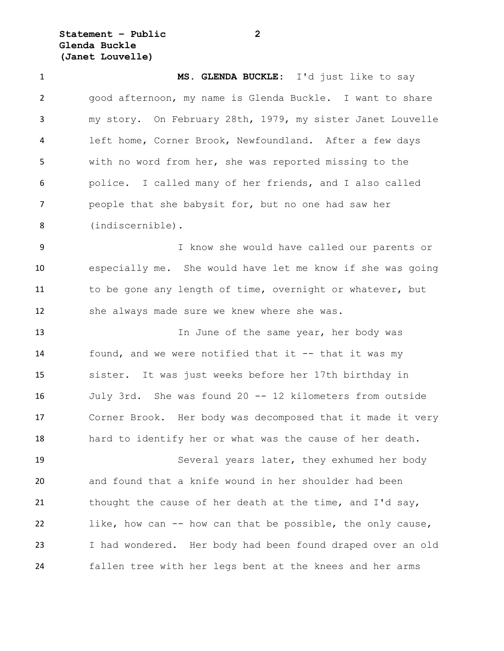**Statement – Public 2 Glenda Buckle (Janet Louvelle)**

 **MS. GLENDA BUCKLE:** I'd just like to say good afternoon, my name is Glenda Buckle. I want to share my story. On February 28th, 1979, my sister Janet Louvelle left home, Corner Brook, Newfoundland. After a few days with no word from her, she was reported missing to the police. I called many of her friends, and I also called people that she babysit for, but no one had saw her (indiscernible).

 I know she would have called our parents or especially me. She would have let me know if she was going 11 to be gone any length of time, overnight or whatever, but she always made sure we knew where she was.

13 13 In June of the same year, her body was found, and we were notified that it -- that it was my sister. It was just weeks before her 17th birthday in July 3rd. She was found 20 -- 12 kilometers from outside Corner Brook. Her body was decomposed that it made it very hard to identify her or what was the cause of her death.

 Several years later, they exhumed her body and found that a knife wound in her shoulder had been 21 thought the cause of her death at the time, and I'd say, like, how can -- how can that be possible, the only cause, I had wondered. Her body had been found draped over an old fallen tree with her legs bent at the knees and her arms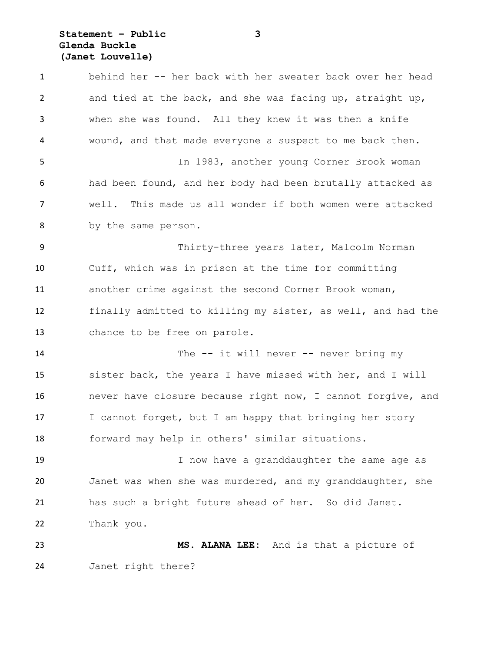### **Statement – Public 3 Glenda Buckle (Janet Louvelle)**

 behind her -- her back with her sweater back over her head and tied at the back, and she was facing up, straight up, when she was found. All they knew it was then a knife wound, and that made everyone a suspect to me back then. In 1983, another young Corner Brook woman had been found, and her body had been brutally attacked as well. This made us all wonder if both women were attacked by the same person. Thirty-three years later, Malcolm Norman Cuff, which was in prison at the time for committing another crime against the second Corner Brook woman, finally admitted to killing my sister, as well, and had the chance to be free on parole. 14 The -- it will never -- never bring my sister back, the years I have missed with her, and I will never have closure because right now, I cannot forgive, and I cannot forget, but I am happy that bringing her story forward may help in others' similar situations. 19 19 I now have a granddaughter the same age as Janet was when she was murdered, and my granddaughter, she has such a bright future ahead of her. So did Janet. Thank you. **MS. ALANA LEE:** And is that a picture of Janet right there?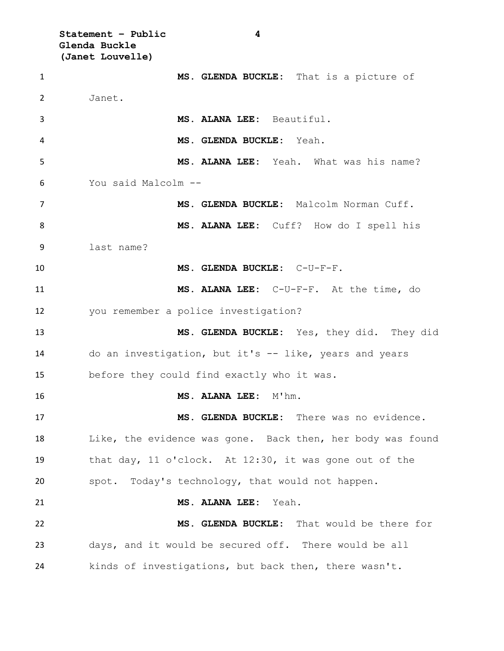**Statement – Public 4 Glenda Buckle (Janet Louvelle) MS. GLENDA BUCKLE:** That is a picture of Janet. **MS. ALANA LEE:** Beautiful. **MS. GLENDA BUCKLE:** Yeah. **MS. ALANA LEE:** Yeah. What was his name? You said Malcolm -- **MS. GLENDA BUCKLE:** Malcolm Norman Cuff. **MS. ALANA LEE:** Cuff? How do I spell his last name? **MS. GLENDA BUCKLE:** C-U-F-F. **MS. ALANA LEE:** C-U-F-F. At the time, do you remember a police investigation? **MS. GLENDA BUCKLE:** Yes, they did. They did do an investigation, but it's -- like, years and years before they could find exactly who it was. **MS. ALANA LEE:** M'hm. **MS. GLENDA BUCKLE:** There was no evidence. Like, the evidence was gone. Back then, her body was found that day, 11 o'clock. At 12:30, it was gone out of the spot. Today's technology, that would not happen. **MS. ALANA LEE:** Yeah. **MS. GLENDA BUCKLE:** That would be there for days, and it would be secured off. There would be all kinds of investigations, but back then, there wasn't.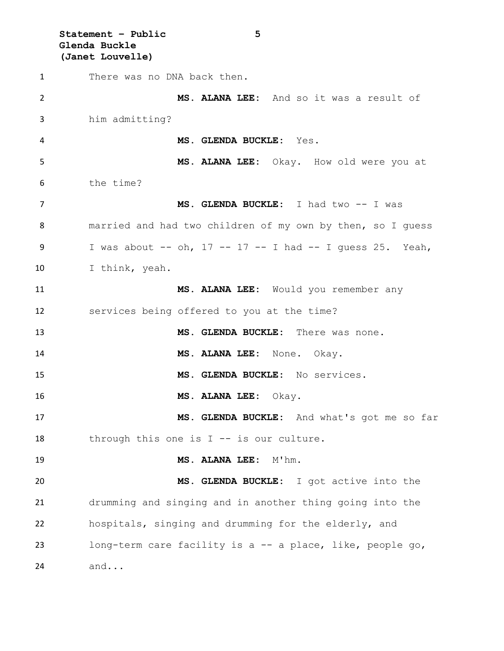**Statement – Public 5 Glenda Buckle (Janet Louvelle)** There was no DNA back then. **MS. ALANA LEE:** And so it was a result of him admitting? **MS. GLENDA BUCKLE:** Yes. **MS. ALANA LEE:** Okay. How old were you at the time? **MS. GLENDA BUCKLE:** I had two -- I was married and had two children of my own by then, so I guess I was about -- oh, 17 -- 17 -- I had -- I guess 25. Yeah, I think, yeah. **MS. ALANA LEE:** Would you remember any services being offered to you at the time? **MS. GLENDA BUCKLE:** There was none. **MS. ALANA LEE:** None. Okay. **MS. GLENDA BUCKLE:** No services. **MS. ALANA LEE:** Okay. **MS. GLENDA BUCKLE:** And what's got me so far through this one is I -- is our culture. **MS. ALANA LEE:** M'hm. **MS. GLENDA BUCKLE:** I got active into the drumming and singing and in another thing going into the hospitals, singing and drumming for the elderly, and long-term care facility is a -- a place, like, people go,

and...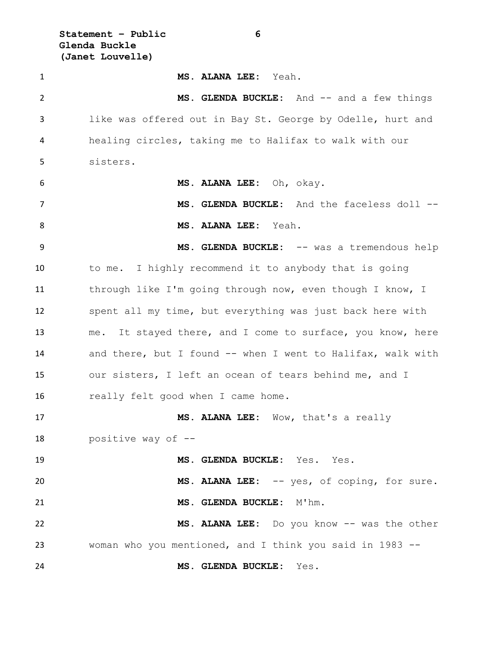**Statement – Public 6 Glenda Buckle (Janet Louvelle)**

 **MS. ALANA LEE:** Yeah. 2 MS. GLENDA BUCKLE: And  $-$  and a few things like was offered out in Bay St. George by Odelle, hurt and healing circles, taking me to Halifax to walk with our sisters. **MS. ALANA LEE:** Oh, okay. **MS. GLENDA BUCKLE:** And the faceless doll -- **MS. ALANA LEE:** Yeah. 9 MS. GLENDA BUCKLE:  $--$  was a tremendous help to me. I highly recommend it to anybody that is going 11 through like I'm going through now, even though I know, I spent all my time, but everything was just back here with me. It stayed there, and I come to surface, you know, here 14 and there, but I found -- when I went to Halifax, walk with our sisters, I left an ocean of tears behind me, and I 16 really felt good when I came home. **MS. ALANA LEE:** Wow, that's a really positive way of -- **MS. GLENDA BUCKLE:** Yes. Yes. **MS. ALANA LEE:** -- yes, of coping, for sure. **MS. GLENDA BUCKLE:** M'hm. **MS. ALANA LEE:** Do you know -- was the other woman who you mentioned, and I think you said in 1983 -- **MS. GLENDA BUCKLE:** Yes.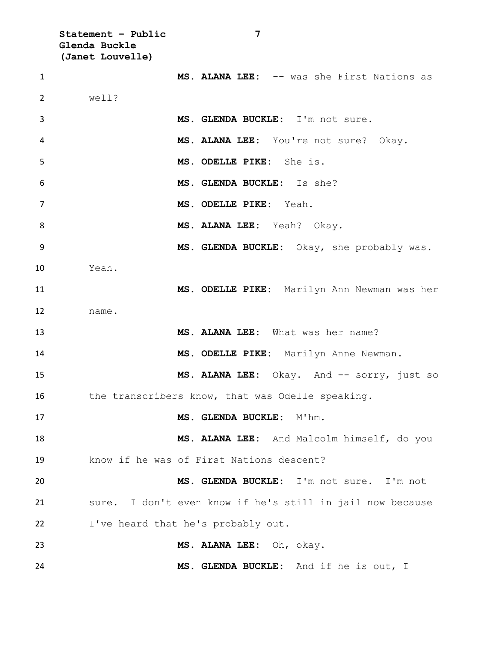**Statement – Public 7 Glenda Buckle (Janet Louvelle) MS. ALANA LEE:** -- was she First Nations as well? **MS. GLENDA BUCKLE:** I'm not sure. **MS. ALANA LEE:** You're not sure? Okay. **MS. ODELLE PIKE:** She is. **MS. GLENDA BUCKLE:** Is she? **MS. ODELLE PIKE:** Yeah. **MS. ALANA LEE:** Yeah? Okay. **MS. GLENDA BUCKLE:** Okay, she probably was. Yeah. **MS. ODELLE PIKE:** Marilyn Ann Newman was her name. **MS. ALANA LEE:** What was her name? **MS. ODELLE PIKE:** Marilyn Anne Newman. 15 MS. ALANA LEE: Okay. And -- sorry, just so 16 the transcribers know, that was Odelle speaking. **MS. GLENDA BUCKLE:** M'hm. **MS. ALANA LEE:** And Malcolm himself, do you know if he was of First Nations descent? **MS. GLENDA BUCKLE:** I'm not sure. I'm not sure. I don't even know if he's still in jail now because I've heard that he's probably out. **MS. ALANA LEE:** Oh, okay. **MS. GLENDA BUCKLE:** And if he is out, I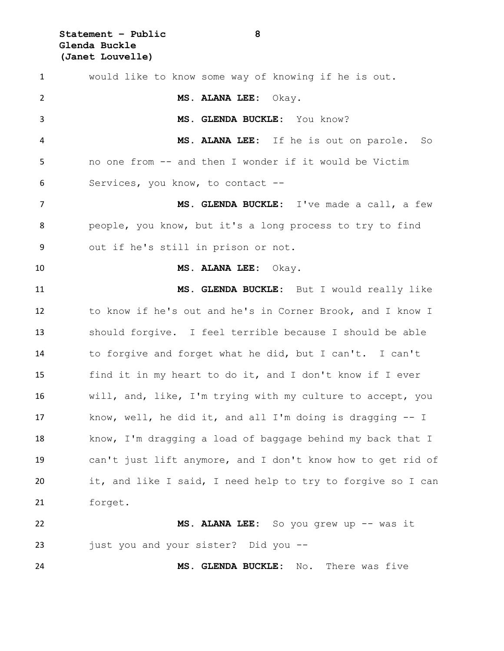**Statement – Public 8 Glenda Buckle (Janet Louvelle)**

| $\mathbf{1}$   | would like to know some way of knowing if he is out.         |
|----------------|--------------------------------------------------------------|
| $\overline{2}$ | MS. ALANA LEE: Okay.                                         |
| 3              | MS. GLENDA BUCKLE: You know?                                 |
| 4              | MS. ALANA LEE: If he is out on parole.<br>So                 |
| 5              | no one from -- and then I wonder if it would be Victim       |
| 6              | Services, you know, to contact --                            |
| 7              | MS. GLENDA BUCKLE: I've made a call, a few                   |
| 8              | people, you know, but it's a long process to try to find     |
| 9              | out if he's still in prison or not.                          |
| 10             | MS. ALANA LEE: Okay.                                         |
| 11             | MS. GLENDA BUCKLE: But I would really like                   |
| 12             | to know if he's out and he's in Corner Brook, and I know I   |
| 13             | should forgive. I feel terrible because I should be able     |
| 14             | to forgive and forget what he did, but I can't. I can't      |
| 15             | find it in my heart to do it, and I don't know if I ever     |
| 16             | will, and, like, I'm trying with my culture to accept, you   |
| 17             | know, well, he did it, and all I'm doing is dragging $-$ - I |
| 18             | know, I'm dragging a load of baggage behind my back that I   |
| 19             | can't just lift anymore, and I don't know how to get rid of  |
| 20             | it, and like I said, I need help to try to forgive so I can  |
| 21             | forget.                                                      |
| 22             | MS. ALANA LEE: So you grew up -- was it                      |
| 23             | just you and your sister? Did you --                         |
|                |                                                              |

**MS. GLENDA BUCKLE:** No. There was five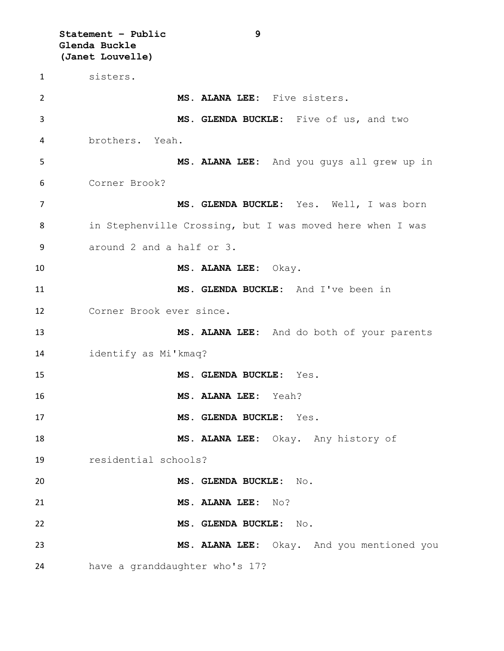**Statement – Public 9 Glenda Buckle (Janet Louvelle)** sisters. **MS. ALANA LEE:** Five sisters. **MS. GLENDA BUCKLE:** Five of us, and two brothers. Yeah. **MS. ALANA LEE:** And you guys all grew up in Corner Brook? **MS. GLENDA BUCKLE:** Yes. Well, I was born in Stephenville Crossing, but I was moved here when I was around 2 and a half or 3. **MS. ALANA LEE:** Okay. **MS. GLENDA BUCKLE:** And I've been in Corner Brook ever since. **MS. ALANA LEE:** And do both of your parents identify as Mi'kmaq? **MS. GLENDA BUCKLE:** Yes. **MS. ALANA LEE:** Yeah? **MS. GLENDA BUCKLE:** Yes. **MS. ALANA LEE:** Okay. Any history of residential schools? **MS. GLENDA BUCKLE:** No. **MS. ALANA LEE:** No? **MS. GLENDA BUCKLE:** No. **MS. ALANA LEE:** Okay. And you mentioned you have a granddaughter who's 17?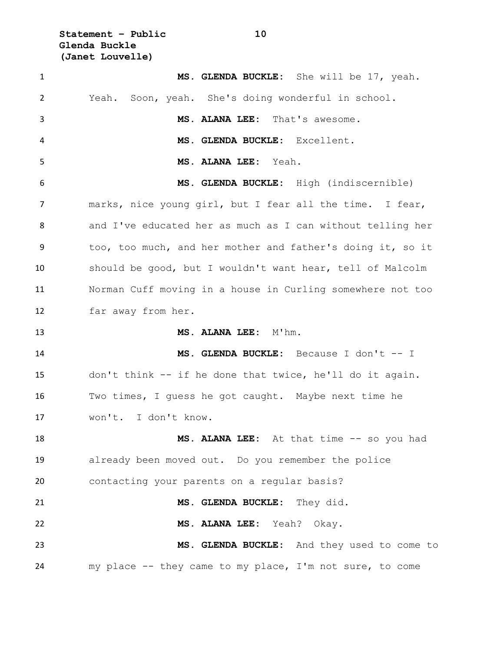**Statement – Public 10 Glenda Buckle (Janet Louvelle)**

| $\mathbf{1}$   | MS. GLENDA BUCKLE: She will be 17, yeah.                   |
|----------------|------------------------------------------------------------|
| $\overline{2}$ | Yeah. Soon, yeah. She's doing wonderful in school.         |
| 3              | MS. ALANA LEE: That's awesome.                             |
| 4              | MS. GLENDA BUCKLE: Excellent.                              |
| 5              | MS. ALANA LEE: Yeah.                                       |
| 6              | MS. GLENDA BUCKLE: High (indiscernible)                    |
| 7              | marks, nice young girl, but I fear all the time. I fear,   |
| 8              | and I've educated her as much as I can without telling her |
| 9              | too, too much, and her mother and father's doing it, so it |
| 10             | should be good, but I wouldn't want hear, tell of Malcolm  |
| 11             | Norman Cuff moving in a house in Curling somewhere not too |
| 12             | far away from her.                                         |
|                |                                                            |
| 13             | MS. ALANA LEE: M'hm.                                       |
| 14             | MS. GLENDA BUCKLE: Because I don't -- I                    |
| 15             | don't think -- if he done that twice, he'll do it again.   |
| 16             | Two times, I quess he got caught. Maybe next time he       |
| 17             | won't. I don't know.                                       |
| 18             | MS. ALANA LEE: At that time -- so you had                  |
| 19             | already been moved out. Do you remember the police         |
| 20             | contacting your parents on a regular basis?                |
| 21             | MS. GLENDA BUCKLE: They did.                               |
| 22             | MS. ALANA LEE: Yeah? Okay.                                 |
| 23             | MS. GLENDA BUCKLE: And they used to come to                |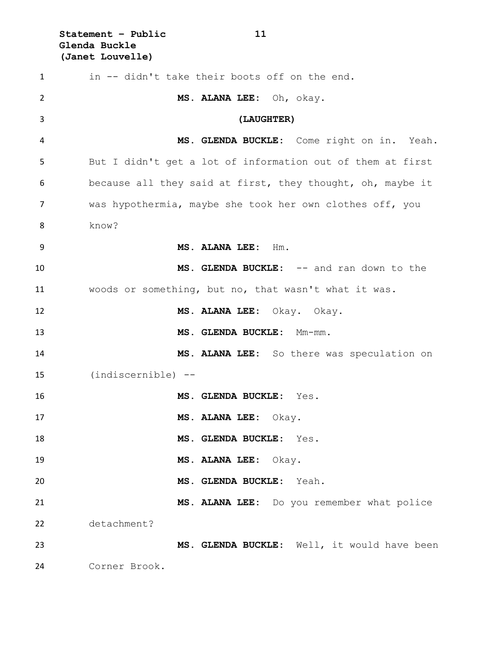**Statement – Public 11 Glenda Buckle (Janet Louvelle)**

| 1  | in -- didn't take their boots off on the end.              |
|----|------------------------------------------------------------|
| 2  | MS. ALANA LEE: Oh, okay.                                   |
| 3  | (LAUGHTER)                                                 |
| 4  | MS. GLENDA BUCKLE: Come right on in. Yeah.                 |
| 5  | But I didn't get a lot of information out of them at first |
| 6  | because all they said at first, they thought, oh, maybe it |
| 7  | was hypothermia, maybe she took her own clothes off, you   |
| 8  | know?                                                      |
| 9  | MS. ALANA LEE: Hm.                                         |
| 10 | MS. GLENDA BUCKLE: -- and ran down to the                  |
| 11 | woods or something, but no, that wasn't what it was.       |
| 12 | MS. ALANA LEE: Okay. Okay.                                 |
| 13 | MS. GLENDA BUCKLE: Mm-mm.                                  |
| 14 | MS. ALANA LEE: So there was speculation on                 |
| 15 | (indiscernible) --                                         |
| 16 | MS. GLENDA BUCKLE: Yes.                                    |
| 17 | MS. ALANA LEE: Okay.                                       |
| 18 | MS. GLENDA BUCKLE: Yes.                                    |
| 19 | MS. ALANA LEE: Okay.                                       |
| 20 | MS. GLENDA BUCKLE: Yeah.                                   |
| 21 | MS. ALANA LEE: Do you remember what police                 |
| 22 | detachment?                                                |
| 23 | MS. GLENDA BUCKLE: Well, it would have been                |
| 24 | Corner Brook.                                              |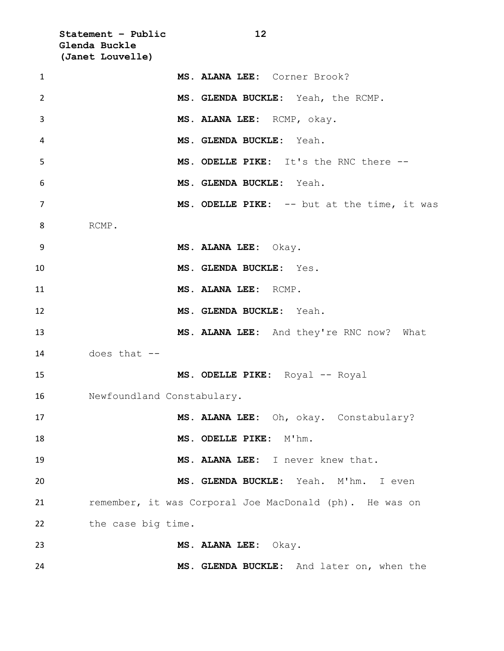**Statement – Public 12 Glenda Buckle (Janet Louvelle) MS. ALANA LEE:** Corner Brook? **MS. GLENDA BUCKLE:** Yeah, the RCMP. **MS. ALANA LEE:** RCMP, okay. **MS. GLENDA BUCKLE:** Yeah. **MS. ODELLE PIKE:** It's the RNC there -- **MS. GLENDA BUCKLE:** Yeah. 7 MS. ODELLE PIKE: -- but at the time, it was RCMP. **MS. ALANA LEE:** Okay. **MS. GLENDA BUCKLE:** Yes. **MS. ALANA LEE:** RCMP. **MS. GLENDA BUCKLE:** Yeah. **MS. ALANA LEE:** And they're RNC now? What does that -- **MS. ODELLE PIKE:** Royal -- Royal Newfoundland Constabulary. **MS. ALANA LEE:** Oh, okay. Constabulary? **MS. ODELLE PIKE:**  $M'$ hm. **MS. ALANA LEE:** I never knew that. **MS. GLENDA BUCKLE:** Yeah. M'hm. I even remember, it was Corporal Joe MacDonald (ph). He was on 22 the case big time. **MS. ALANA LEE:** Okay. **MS. GLENDA BUCKLE:** And later on, when the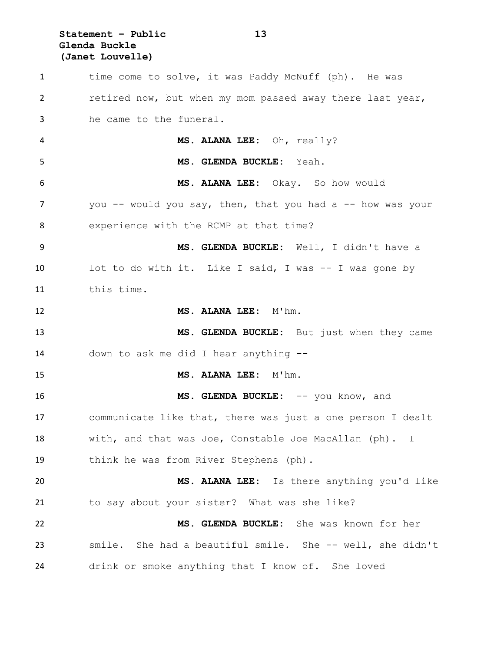### **Statement – Public 13 Glenda Buckle (Janet Louvelle)**

1 time come to solve, it was Paddy McNuff (ph). He was retired now, but when my mom passed away there last year, he came to the funeral. **MS. ALANA LEE:** Oh, really? **MS. GLENDA BUCKLE:** Yeah. **MS. ALANA LEE:** Okay. So how would 7 you -- would you say, then, that you had a -- how was your experience with the RCMP at that time? **MS. GLENDA BUCKLE:** Well, I didn't have a 10 lot to do with it. Like I said, I was -- I was gone by this time. 12 MS. ALANA LEE: M'hm. **MS. GLENDA BUCKLE:** But just when they came down to ask me did I hear anything -- **MS. ALANA LEE:** M'hm. **MS. GLENDA BUCKLE:** -- you know, and communicate like that, there was just a one person I dealt with, and that was Joe, Constable Joe MacAllan (ph). I think he was from River Stephens (ph). **MS. ALANA LEE:** Is there anything you'd like to say about your sister? What was she like? **MS. GLENDA BUCKLE:** She was known for her smile. She had a beautiful smile. She -- well, she didn't drink or smoke anything that I know of. She loved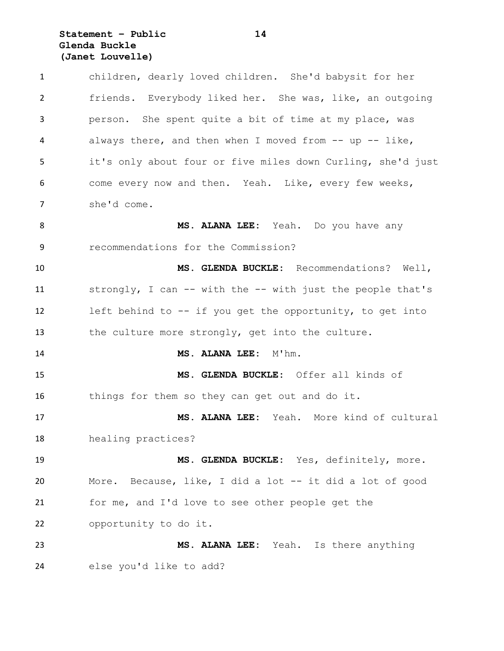### **Statement – Public 14 Glenda Buckle (Janet Louvelle)**

 children, dearly loved children. She'd babysit for her friends. Everybody liked her. She was, like, an outgoing person. She spent quite a bit of time at my place, was always there, and then when I moved from -- up -- like, it's only about four or five miles down Curling, she'd just come every now and then. Yeah. Like, every few weeks, she'd come. **MS. ALANA LEE:** Yeah. Do you have any recommendations for the Commission? **MS. GLENDA BUCKLE:** Recommendations? Well, strongly, I can -- with the -- with just the people that's left behind to -- if you get the opportunity, to get into the culture more strongly, get into the culture. **MS. ALANA LEE:** M'hm. **MS. GLENDA BUCKLE:** Offer all kinds of things for them so they can get out and do it. **MS. ALANA LEE:** Yeah. More kind of cultural healing practices? **MS. GLENDA BUCKLE:** Yes, definitely, more. More. Because, like, I did a lot -- it did a lot of good for me, and I'd love to see other people get the opportunity to do it. **MS. ALANA LEE:** Yeah. Is there anything else you'd like to add?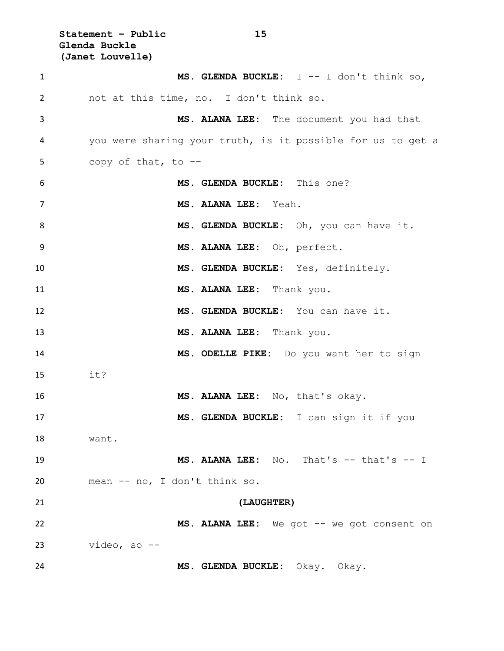**Statement – Public 15 Glenda Buckle (Janet Louvelle)**

| 1  | MS. GLENDA BUCKLE: $I$ -- I don't think so,                 |
|----|-------------------------------------------------------------|
| 2  | not at this time, no. I don't think so.                     |
| 3  | MS. ALANA LEE: The document you had that                    |
| 4  | you were sharing your truth, is it possible for us to get a |
| 5  | copy of that, to --                                         |
| 6  | MS. GLENDA BUCKLE: This one?                                |
| 7  | MS. ALANA LEE: Yeah.                                        |
| 8  | MS. GLENDA BUCKLE: Oh, you can have it.                     |
| 9  | MS. ALANA LEE: Oh, perfect.                                 |
| 10 | MS. GLENDA BUCKLE: Yes, definitely.                         |
| 11 | MS. ALANA LEE: Thank you.                                   |
| 12 | MS. GLENDA BUCKLE: You can have it.                         |
| 13 | MS. ALANA LEE: Thank you.                                   |
| 14 | MS. ODELLE PIKE: Do you want her to sign                    |
| 15 | it?                                                         |
| 16 | MS. ALANA LEE: No, that's okay.                             |
| 17 | MS. GLENDA BUCKLE: I can sign it if you                     |
| 18 | want.                                                       |
| 19 | MS. ALANA LEE: No. That's -- that's -- I                    |
| 20 | mean -- no, I don't think so.                               |
| 21 | (LAUGHTER)                                                  |
| 22 | MS. ALANA LEE: We got -- we got consent on                  |
| 23 | video, so --                                                |
| 24 | MS. GLENDA BUCKLE: Okay. Okay.                              |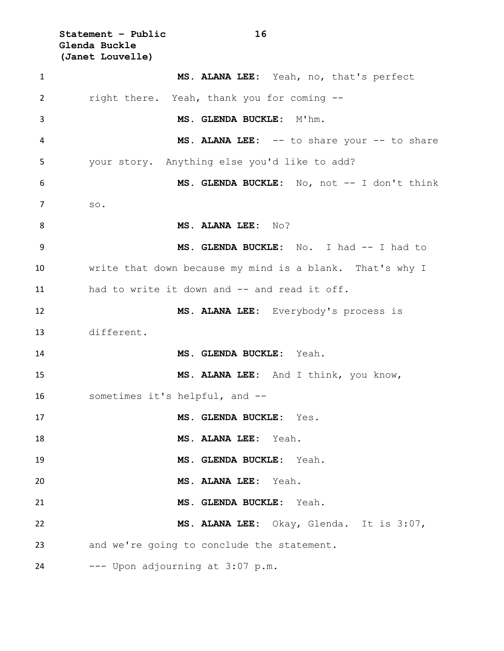**Statement – Public 16 Glenda Buckle (Janet Louvelle)**

| 1  | MS. ALANA LEE: Yeah, no, that's perfect                  |
|----|----------------------------------------------------------|
| 2  | right there. Yeah, thank you for coming --               |
| 3  | MS. GLENDA BUCKLE: M'hm.                                 |
| 4  | MS. ALANA LEE: -- to share your -- to share              |
| 5  | your story. Anything else you'd like to add?             |
| 6  | MS. GLENDA BUCKLE: No, not -- I don't think              |
| 7  | SO.                                                      |
| 8  | MS. ALANA LEE: No?                                       |
| 9  | MS. GLENDA BUCKLE: No. I had -- I had to                 |
| 10 | write that down because my mind is a blank. That's why I |
| 11 | had to write it down and -- and read it off.             |
| 12 | MS. ALANA LEE: Everybody's process is                    |
| 13 | different.                                               |
| 14 | MS. GLENDA BUCKLE: Yeah.                                 |
| 15 | MS. ALANA LEE: And I think, you know,                    |
| 16 | sometimes it's helpful, and --                           |
| 17 | MS. GLENDA BUCKLE: Yes.                                  |
| 18 | MS. ALANA LEE: Yeah.                                     |
| 19 | MS. GLENDA BUCKLE: Yeah.                                 |
| 20 | MS. ALANA LEE: Yeah.                                     |
| 21 | MS. GLENDA BUCKLE: Yeah.                                 |
| 22 | MS. ALANA LEE: Okay, Glenda. It is 3:07,                 |
| 23 | and we're going to conclude the statement.               |
| 24 | --- Upon adjourning at 3:07 p.m.                         |